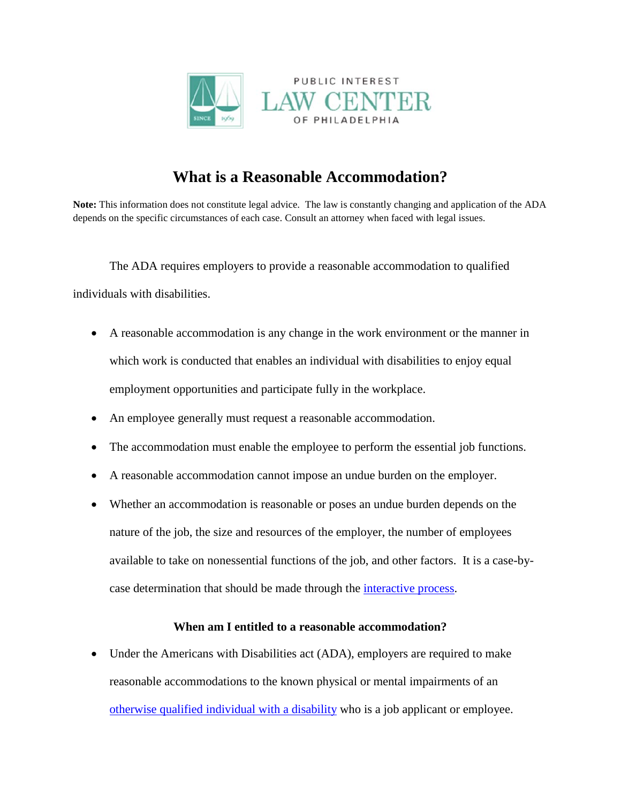

# **What is a Reasonable Accommodation?**

**Note:** This information does not constitute legal advice. The law is constantly changing and application of the ADA depends on the specific circumstances of each case. Consult an attorney when faced with legal issues.

The ADA requires employers to provide a reasonable accommodation to qualified individuals with disabilities.

- A reasonable accommodation is any change in the work environment or the manner in which work is conducted that enables an individual with disabilities to enjoy equal employment opportunities and participate fully in the workplace.
- An employee generally must request a reasonable accommodation.
- The accommodation must enable the employee to perform the essential job functions.
- A reasonable accommodation cannot impose an undue burden on the employer.
- Whether an accommodation is reasonable or poses an undue burden depends on the nature of the job, the size and resources of the employer, the number of employees available to take on nonessential functions of the job, and other factors. It is a case-bycase determination that should be made through the [interactive process.](http://www.pilcop.org/wp-content/uploads/2014/11/The-Interactive-Process.pdf)

## **When am I entitled to a reasonable accommodation?**

• Under the Americans with Disabilities act (ADA), employers are required to make reasonable accommodations to the known physical or mental impairments of an [otherwise qualified individual with a disability](http://www.pilcop.org/wp-content/uploads/2014/11/Qualified-for-the-Job.pdf) who is a job applicant or employee.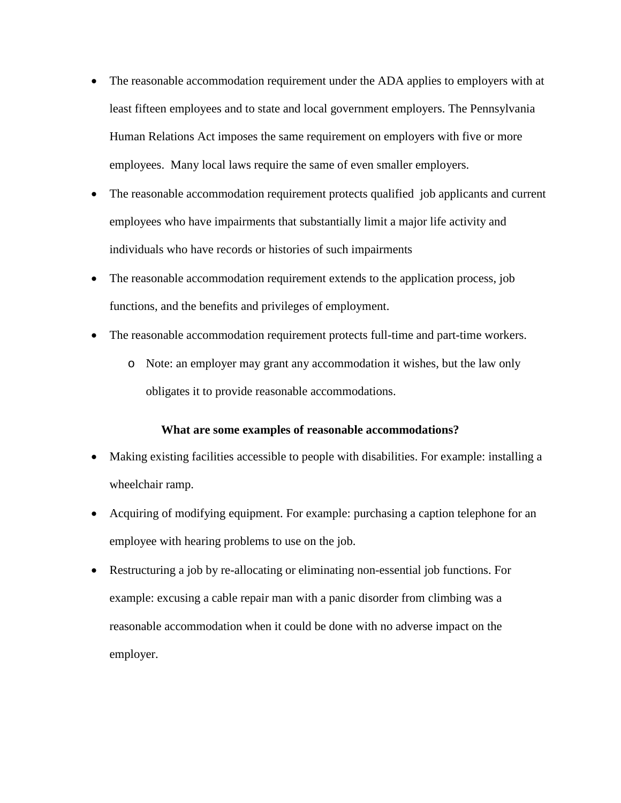- The reasonable accommodation requirement under the ADA applies to employers with at least fifteen employees and to state and local government employers. The Pennsylvania Human Relations Act imposes the same requirement on employers with five or more employees. Many local laws require the same of even smaller employers.
- The reasonable accommodation requirement protects qualified job applicants and current employees who have impairments that substantially limit a major life activity and individuals who have records or histories of such impairments
- The reasonable accommodation requirement extends to the application process, job functions, and the benefits and privileges of employment.
- The reasonable accommodation requirement protects full-time and part-time workers.
	- o Note: an employer may grant any accommodation it wishes, but the law only obligates it to provide reasonable accommodations.

### **What are some examples of reasonable accommodations?**

- Making existing facilities accessible to people with disabilities. For example: installing a wheelchair ramp.
- Acquiring of modifying equipment. For example: purchasing a caption telephone for an employee with hearing problems to use on the job.
- Restructuring a job by re-allocating or eliminating non-essential job functions. For example: excusing a cable repair man with a panic disorder from climbing was a reasonable accommodation when it could be done with no adverse impact on the employer.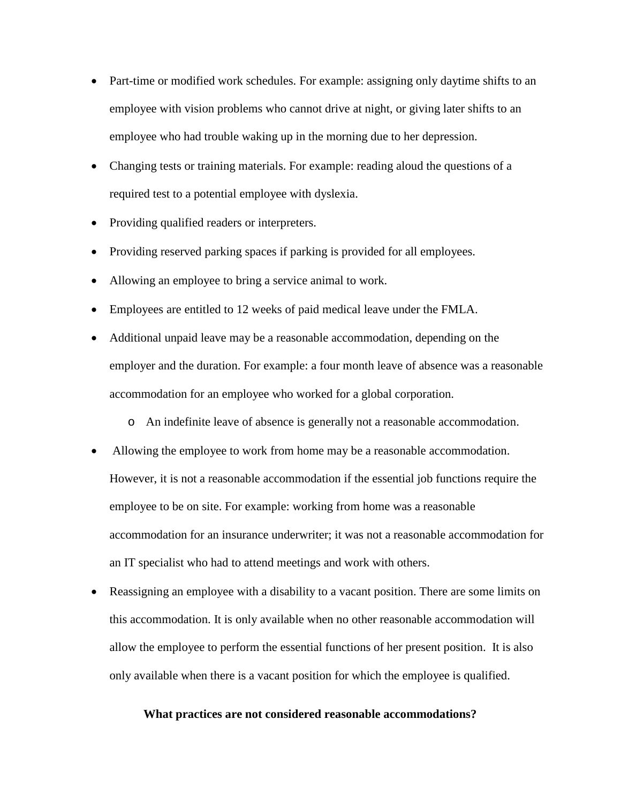- Part-time or modified work schedules. For example: assigning only daytime shifts to an employee with vision problems who cannot drive at night, or giving later shifts to an employee who had trouble waking up in the morning due to her depression.
- Changing tests or training materials. For example: reading aloud the questions of a required test to a potential employee with dyslexia.
- Providing qualified readers or interpreters.
- Providing reserved parking spaces if parking is provided for all employees.
- Allowing an employee to bring a service animal to work.
- Employees are entitled to 12 weeks of paid medical leave under the FMLA.
- Additional unpaid leave may be a reasonable accommodation, depending on the employer and the duration. For example: a four month leave of absence was a reasonable accommodation for an employee who worked for a global corporation.
	- o An indefinite leave of absence is generally not a reasonable accommodation.
- Allowing the employee to work from home may be a reasonable accommodation. However, it is not a reasonable accommodation if the essential job functions require the employee to be on site. For example: working from home was a reasonable accommodation for an insurance underwriter; it was not a reasonable accommodation for an IT specialist who had to attend meetings and work with others.
- Reassigning an employee with a disability to a vacant position. There are some limits on this accommodation. It is only available when no other reasonable accommodation will allow the employee to perform the essential functions of her present position. It is also only available when there is a vacant position for which the employee is qualified.

#### **What practices are not considered reasonable accommodations?**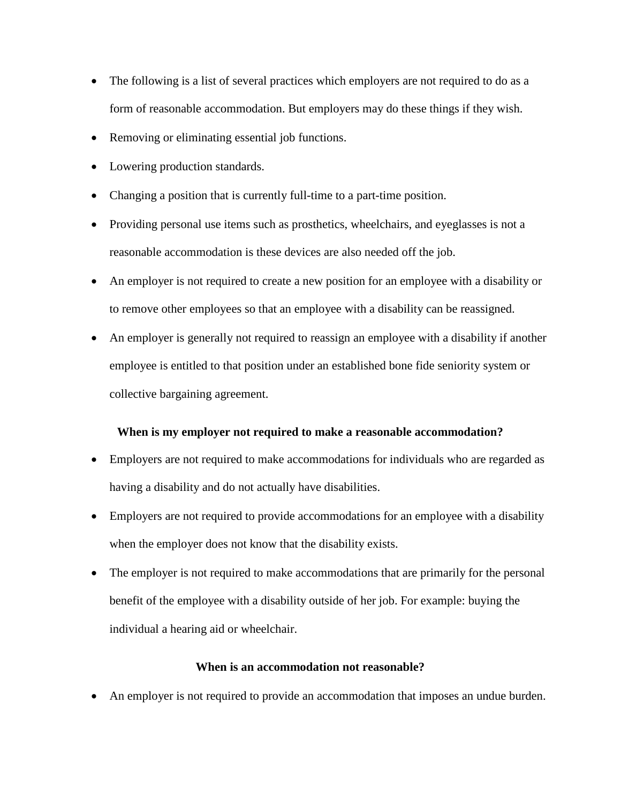- The following is a list of several practices which employers are not required to do as a form of reasonable accommodation. But employers may do these things if they wish.
- Removing or eliminating essential job functions.
- Lowering production standards.
- Changing a position that is currently full-time to a part-time position.
- Providing personal use items such as prosthetics, wheelchairs, and eyeglasses is not a reasonable accommodation is these devices are also needed off the job.
- An employer is not required to create a new position for an employee with a disability or to remove other employees so that an employee with a disability can be reassigned.
- An employer is generally not required to reassign an employee with a disability if another employee is entitled to that position under an established bone fide seniority system or collective bargaining agreement.

## **When is my employer not required to make a reasonable accommodation?**

- Employers are not required to make accommodations for individuals who are regarded as having a disability and do not actually have disabilities.
- Employers are not required to provide accommodations for an employee with a disability when the employer does not know that the disability exists.
- The employer is not required to make accommodations that are primarily for the personal benefit of the employee with a disability outside of her job. For example: buying the individual a hearing aid or wheelchair.

#### **When is an accommodation not reasonable?**

• An employer is not required to provide an accommodation that imposes an undue burden.